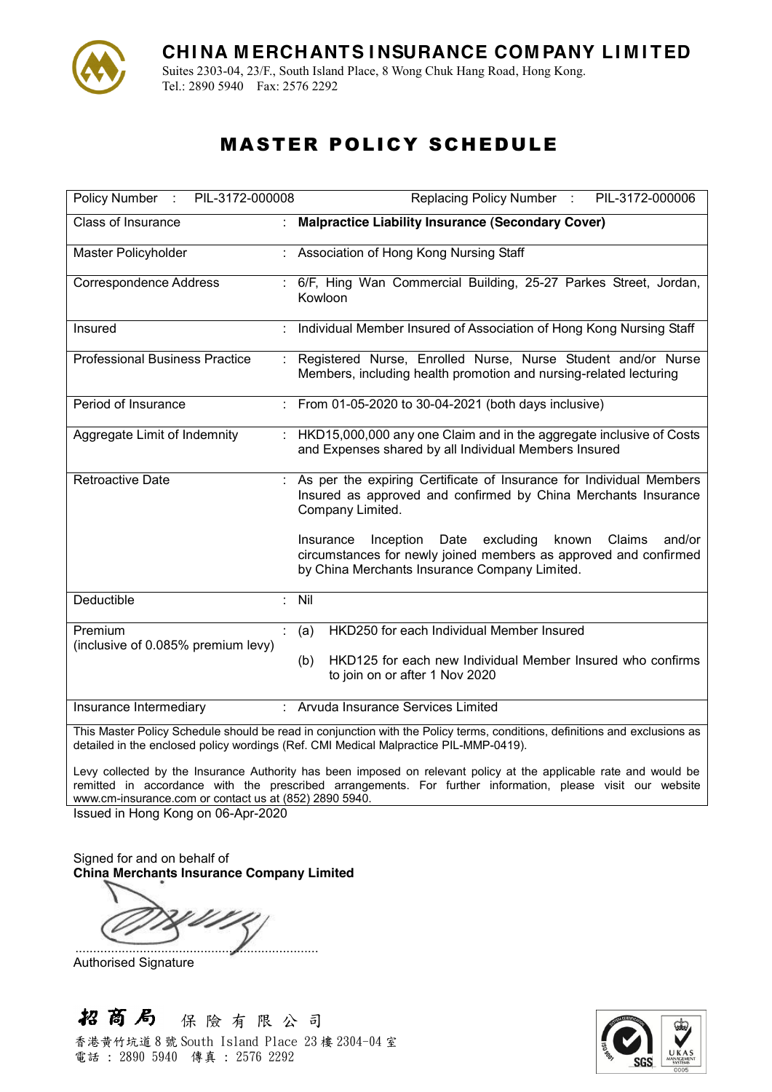

Suites 2303-04, 23/F., South Island Place, 8 Wong Chuk Hang Road, Hong Kong. Tel.: 2890 5940 Fax: 2576 2292

# MASTER POLICY SCHEDULE

| PIL-3172-000008<br>Policy Number :            | PIL-3172-000006<br>Replacing Policy Number :                                                                                                                                            |
|-----------------------------------------------|-----------------------------------------------------------------------------------------------------------------------------------------------------------------------------------------|
| <b>Class of Insurance</b>                     | <b>Malpractice Liability Insurance (Secondary Cover)</b>                                                                                                                                |
| Master Policyholder                           | : Association of Hong Kong Nursing Staff                                                                                                                                                |
| <b>Correspondence Address</b>                 | : 6/F, Hing Wan Commercial Building, 25-27 Parkes Street, Jordan,<br>Kowloon                                                                                                            |
| Insured                                       | Individual Member Insured of Association of Hong Kong Nursing Staff                                                                                                                     |
| <b>Professional Business Practice</b>         | : Registered Nurse, Enrolled Nurse, Nurse Student and/or Nurse<br>Members, including health promotion and nursing-related lecturing                                                     |
| Period of Insurance                           | : From 01-05-2020 to 30-04-2021 (both days inclusive)                                                                                                                                   |
| Aggregate Limit of Indemnity                  | : HKD15,000,000 any one Claim and in the aggregate inclusive of Costs<br>and Expenses shared by all Individual Members Insured                                                          |
| <b>Retroactive Date</b>                       | : As per the expiring Certificate of Insurance for Individual Members<br>Insured as approved and confirmed by China Merchants Insurance<br>Company Limited.                             |
|                                               | Inception Date excluding<br>and/or<br>known<br>Claims<br>Insurance<br>circumstances for newly joined members as approved and confirmed<br>by China Merchants Insurance Company Limited. |
| Deductible                                    | $\therefore$ Nil                                                                                                                                                                        |
| Premium<br>(inclusive of 0.085% premium levy) | HKD250 for each Individual Member Insured<br>(a)<br>HKD125 for each new Individual Member Insured who confirms<br>(b)<br>to join on or after 1 Nov 2020                                 |
| Insurance Intermediary                        | : Arvuda Insurance Services Limited<br>This Master Policy Schedule should be read in conjunction with the Policy terms, conditions, definitions and exclusions as                       |

conjunction with the Policy terms, conditions, definitions and exclusions detailed in the enclosed policy wordings (Ref. CMI Medical Malpractice PIL-MMP-0419).

Levy collected by the Insurance Authority has been imposed on relevant policy at the applicable rate and would be remitted in accordance with the prescribed arrangements. For further information, please visit our website www.cm-insurance.com or contact us at (852) 2890 5940.

Issued in Hong Kong on 06-Apr-2020

Signed for and on behalf of **China Merchants Insurance Company Limited**

....................................................................

Authorised Signature



香港黄竹坑道 8 號 South Island Place 23 樓 2304-04 室 電話 : 2890 5940 傳真 : 2576 2292

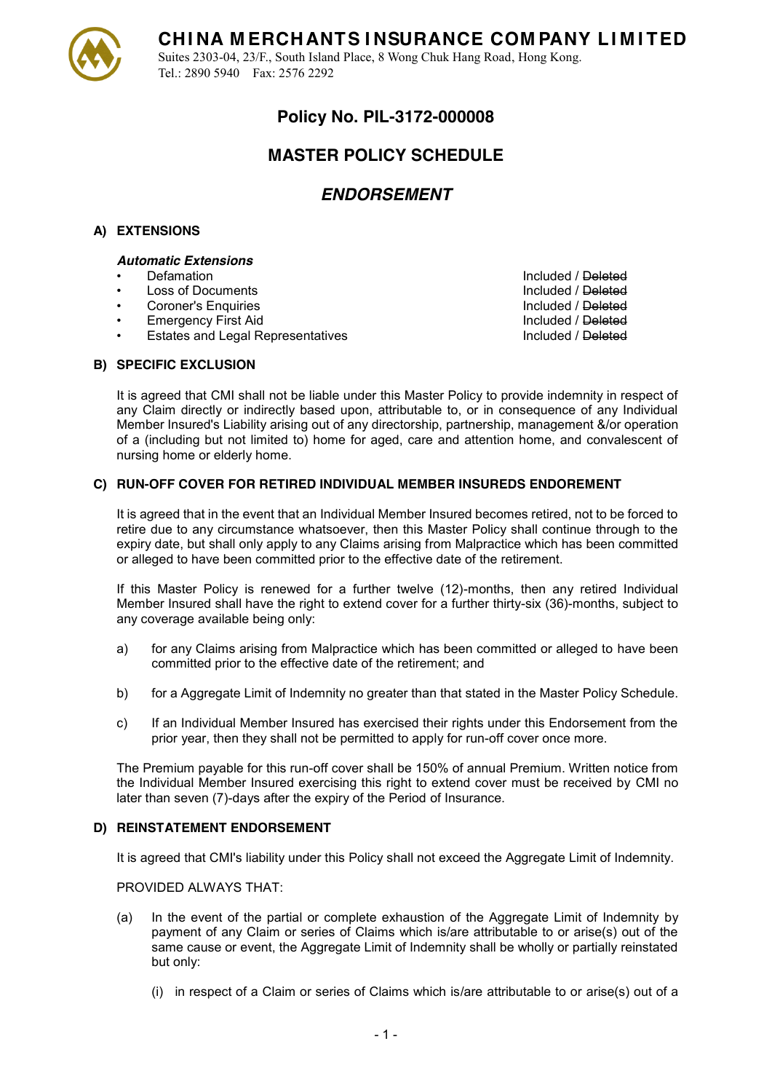

Suites 2303-04, 23/F., South Island Place, 8 Wong Chuk Hang Road, Hong Kong. Tel.: 2890 5940 Fax: 2576 2292

### **Policy No. PIL-3172-000008**

## **MASTER POLICY SCHEDULE**

### *ENDORSEMENT*

#### **A) EXTENSIONS**

# *Automatic Extensions*

- 
- Loss of Documents **Included** / Deleted
- **Coroner's Enquiries Included / Deleted Included / Deleted Included / Deleted Included / Deleted Included / Deleted Included / Deleted Included / Deleted Included / Deleted Included / Deleted Included / Deleted Included /**
- 
- Estates and Legal Representatives

Included / Deleted Emergency First Aid<br>
Estates and Legal Representatives<br>
Included / <del>Deleted</del><br>
Included / <del>Deleted</del>

#### **B) SPECIFIC EXCLUSION**

It is agreed that CMI shall not be liable under this Master Policy to provide indemnity in respect of any Claim directly or indirectly based upon, attributable to, or in consequence of any Individual Member Insured's Liability arising out of any directorship, partnership, management &/or operation of a (including but not limited to) home for aged, care and attention home, and convalescent of nursing home or elderly home.

#### **C) RUN-OFF COVER FOR RETIRED INDIVIDUAL MEMBER INSUREDS ENDOREMENT**

It is agreed that in the event that an Individual Member Insured becomes retired, not to be forced to retire due to any circumstance whatsoever, then this Master Policy shall continue through to the expiry date, but shall only apply to any Claims arising from Malpractice which has been committed or alleged to have been committed prior to the effective date of the retirement.

If this Master Policy is renewed for a further twelve (12)-months, then any retired Individual Member Insured shall have the right to extend cover for a further thirty-six (36)-months, subject to any coverage available being only:

- a) for any Claims arising from Malpractice which has been committed or alleged to have been committed prior to the effective date of the retirement; and
- b) for a Aggregate Limit of Indemnity no greater than that stated in the Master Policy Schedule.
- c) If an Individual Member Insured has exercised their rights under this Endorsement from the prior year, then they shall not be permitted to apply for run-off cover once more.

The Premium payable for this run-off cover shall be 150% of annual Premium. Written notice from the Individual Member Insured exercising this right to extend cover must be received by CMI no later than seven (7)-days after the expiry of the Period of Insurance.

#### **D) REINSTATEMENT ENDORSEMENT**

It is agreed that CMI's liability under this Policy shall not exceed the Aggregate Limit of Indemnity.

PROVIDED ALWAYS THAT:

- (a) In the event of the partial or complete exhaustion of the Aggregate Limit of Indemnity by payment of any Claim or series of Claims which is/are attributable to or arise(s) out of the same cause or event, the Aggregate Limit of Indemnity shall be wholly or partially reinstated but only:
	- (i) in respect of a Claim or series of Claims which is/are attributable to or arise(s) out of a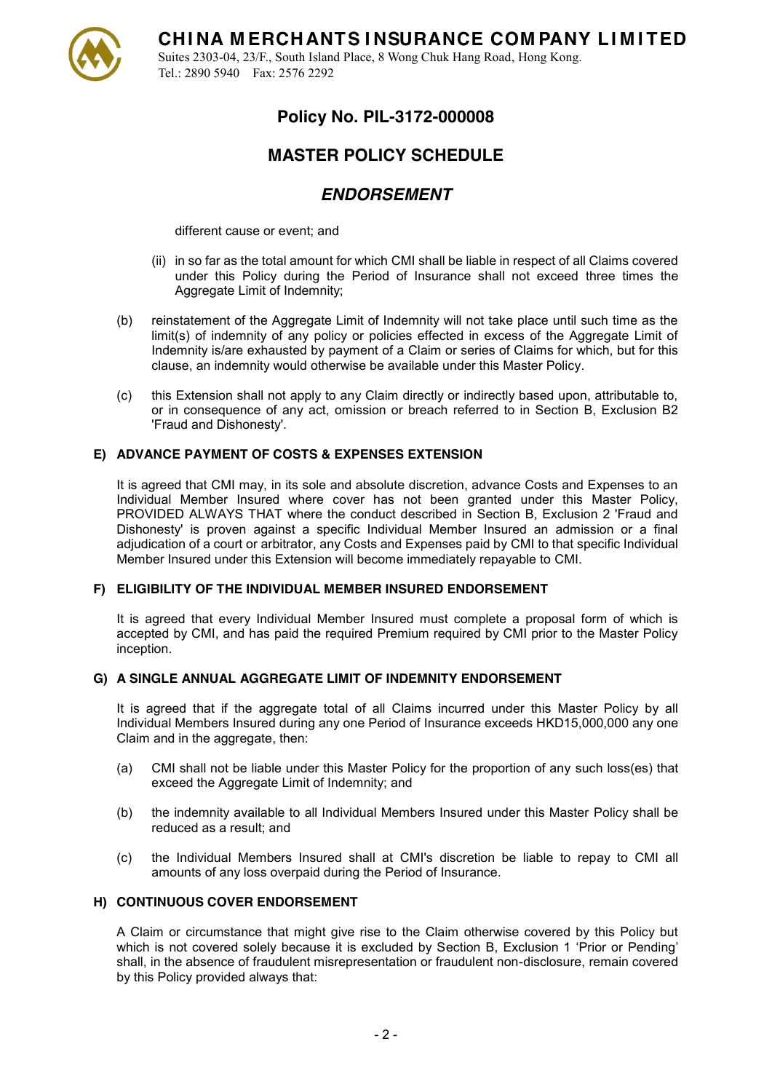Suites 2303-04, 23/F., South Island Place, 8 Wong Chuk Hang Road, Hong Kong. Tel.: 2890 5940 Fax: 2576 2292

# **Policy No. PIL-3172-000008**

# **MASTER POLICY SCHEDULE**

### *ENDORSEMENT*

different cause or event; and

- (ii) in so far as the total amount for which CMI shall be liable in respect of all Claims covered under this Policy during the Period of Insurance shall not exceed three times the Aggregate Limit of Indemnity;
- (b) reinstatement of the Aggregate Limit of Indemnity will not take place until such time as the limit(s) of indemnity of any policy or policies effected in excess of the Aggregate Limit of Indemnity is/are exhausted by payment of a Claim or series of Claims for which, but for this clause, an indemnity would otherwise be available under this Master Policy.
- (c) this Extension shall not apply to any Claim directly or indirectly based upon, attributable to, or in consequence of any act, omission or breach referred to in Section B, Exclusion B2 'Fraud and Dishonesty'.

#### **E) ADVANCE PAYMENT OF COSTS & EXPENSES EXTENSION**

It is agreed that CMI may, in its sole and absolute discretion, advance Costs and Expenses to an Individual Member Insured where cover has not been granted under this Master Policy, PROVIDED ALWAYS THAT where the conduct described in Section B, Exclusion 2 'Fraud and Dishonesty' is proven against a specific Individual Member Insured an admission or a final adjudication of a court or arbitrator, any Costs and Expenses paid by CMI to that specific Individual Member Insured under this Extension will become immediately repayable to CMI.

#### **F) ELIGIBILITY OF THE INDIVIDUAL MEMBER INSURED ENDORSEMENT**

It is agreed that every Individual Member Insured must complete a proposal form of which is accepted by CMI, and has paid the required Premium required by CMI prior to the Master Policy inception.

#### **G) A SINGLE ANNUAL AGGREGATE LIMIT OF INDEMNITY ENDORSEMENT**

It is agreed that if the aggregate total of all Claims incurred under this Master Policy by all Individual Members Insured during any one Period of Insurance exceeds HKD15,000,000 any one Claim and in the aggregate, then:

- (a) CMI shall not be liable under this Master Policy for the proportion of any such loss(es) that exceed the Aggregate Limit of Indemnity; and
- (b) the indemnity available to all Individual Members Insured under this Master Policy shall be reduced as a result; and
- (c) the Individual Members Insured shall at CMI's discretion be liable to repay to CMI all amounts of any loss overpaid during the Period of Insurance.

#### **H) CONTINUOUS COVER ENDORSEMENT**

A Claim or circumstance that might give rise to the Claim otherwise covered by this Policy but which is not covered solely because it is excluded by Section B. Exclusion 1 'Prior or Pending' shall, in the absence of fraudulent misrepresentation or fraudulent non-disclosure, remain covered by this Policy provided always that: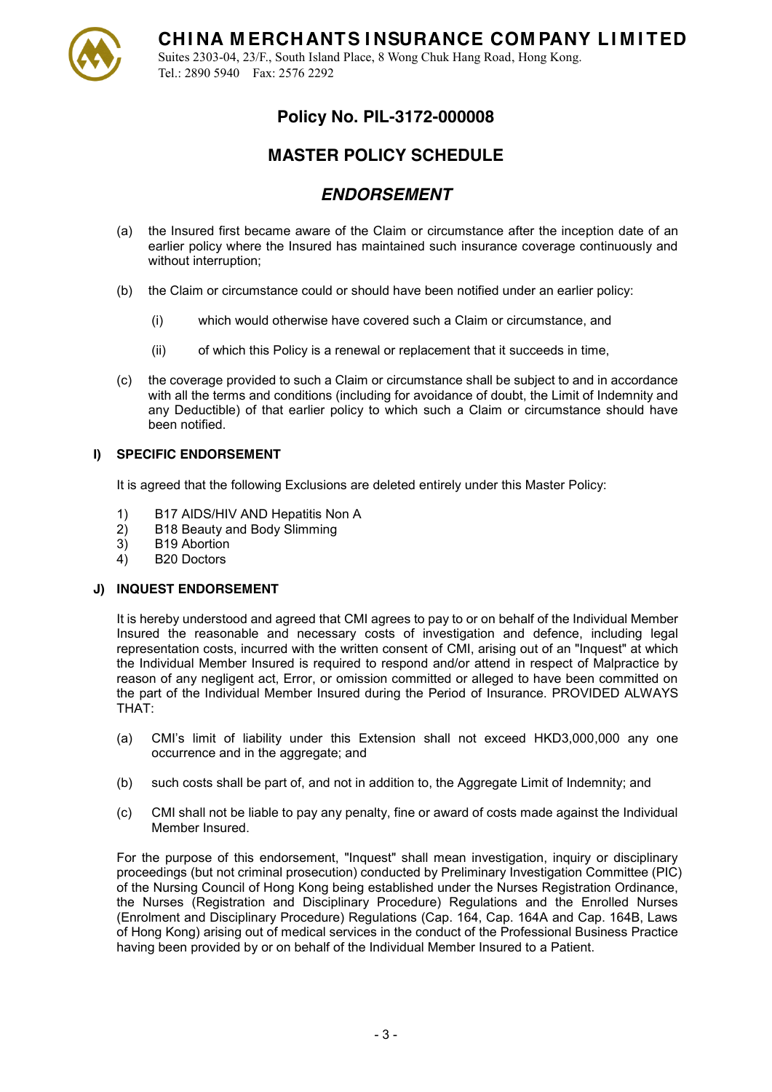

Suites 2303-04, 23/F., South Island Place, 8 Wong Chuk Hang Road, Hong Kong. Tel.: 2890 5940 Fax: 2576 2292

# **Policy No. PIL-3172-000008**

# **MASTER POLICY SCHEDULE**

## *ENDORSEMENT*

- (a) the Insured first became aware of the Claim or circumstance after the inception date of an earlier policy where the Insured has maintained such insurance coverage continuously and without interruption;
- (b) the Claim or circumstance could or should have been notified under an earlier policy:
	- (i) which would otherwise have covered such a Claim or circumstance, and
	- (ii) of which this Policy is a renewal or replacement that it succeeds in time,
- (c) the coverage provided to such a Claim or circumstance shall be subject to and in accordance with all the terms and conditions (including for avoidance of doubt, the Limit of Indemnity and any Deductible) of that earlier policy to which such a Claim or circumstance should have been notified.

#### **I) SPECIFIC ENDORSEMENT**

It is agreed that the following Exclusions are deleted entirely under this Master Policy:

- 1) B17 AIDS/HIV AND Hepatitis Non A
- 2) B18 Beauty and Body Slimming
- 3) B19 Abortion<br>4) B20 Doctors
- B20 Doctors

#### **J) INQUEST ENDORSEMENT**

It is hereby understood and agreed that CMI agrees to pay to or on behalf of the Individual Member Insured the reasonable and necessary costs of investigation and defence, including legal representation costs, incurred with the written consent of CMI, arising out of an "Inquest" at which the Individual Member Insured is required to respond and/or attend in respect of Malpractice by reason of any negligent act, Error, or omission committed or alleged to have been committed on the part of the Individual Member Insured during the Period of Insurance. PROVIDED ALWAYS  $THAT$ 

- (a) CMI's limit of liability under this Extension shall not exceed HKD3,000,000 any one occurrence and in the aggregate; and
- (b) such costs shall be part of, and not in addition to, the Aggregate Limit of Indemnity; and
- (c) CMI shall not be liable to pay any penalty, fine or award of costs made against the Individual Member Insured.

For the purpose of this endorsement, "Inquest" shall mean investigation, inquiry or disciplinary proceedings (but not criminal prosecution) conducted by Preliminary Investigation Committee (PIC) of the Nursing Council of Hong Kong being established under the Nurses Registration Ordinance, the Nurses (Registration and Disciplinary Procedure) Regulations and the Enrolled Nurses (Enrolment and Disciplinary Procedure) Regulations (Cap. 164, Cap. 164A and Cap. 164B, Laws of Hong Kong) arising out of medical services in the conduct of the Professional Business Practice having been provided by or on behalf of the Individual Member Insured to a Patient.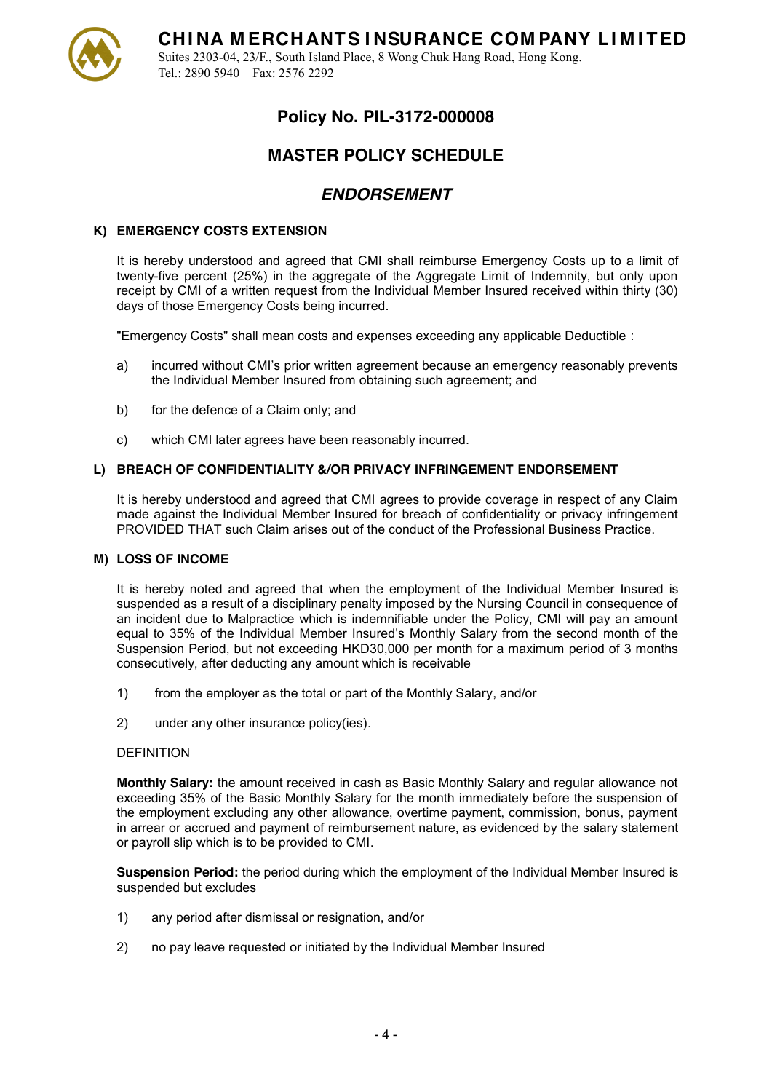

Suites 2303-04, 23/F., South Island Place, 8 Wong Chuk Hang Road, Hong Kong. Tel.: 2890 5940 Fax: 2576 2292

### **Policy No. PIL-3172-000008**

### **MASTER POLICY SCHEDULE**

### *ENDORSEMENT*

#### **K) EMERGENCY COSTS EXTENSION**

It is hereby understood and agreed that CMI shall reimburse Emergency Costs up to a limit of twenty-five percent (25%) in the aggregate of the Aggregate Limit of Indemnity, but only upon receipt by CMI of a written request from the Individual Member Insured received within thirty (30) days of those Emergency Costs being incurred.

"Emergency Costs" shall mean costs and expenses exceeding any applicable Deductible :

- a) incurred without CMI's prior written agreement because an emergency reasonably prevents the Individual Member Insured from obtaining such agreement; and
- b) for the defence of a Claim only; and
- c) which CMI later agrees have been reasonably incurred.

#### **L) BREACH OF CONFIDENTIALITY &/OR PRIVACY INFRINGEMENT ENDORSEMENT**

It is hereby understood and agreed that CMI agrees to provide coverage in respect of any Claim made against the Individual Member Insured for breach of confidentiality or privacy infringement PROVIDED THAT such Claim arises out of the conduct of the Professional Business Practice.

#### **M) LOSS OF INCOME**

It is hereby noted and agreed that when the employment of the Individual Member Insured is suspended as a result of a disciplinary penalty imposed by the Nursing Council in consequence of an incident due to Malpractice which is indemnifiable under the Policy, CMI will pay an amount equal to 35% of the Individual Member Insured's Monthly Salary from the second month of the Suspension Period, but not exceeding HKD30,000 per month for a maximum period of 3 months consecutively, after deducting any amount which is receivable

- 1) from the employer as the total or part of the Monthly Salary, and/or
- 2) under any other insurance policy(ies).

#### DEFINITION

**Monthly Salary:** the amount received in cash as Basic Monthly Salary and regular allowance not exceeding 35% of the Basic Monthly Salary for the month immediately before the suspension of the employment excluding any other allowance, overtime payment, commission, bonus, payment in arrear or accrued and payment of reimbursement nature, as evidenced by the salary statement or payroll slip which is to be provided to CMI.

**Suspension Period:** the period during which the employment of the Individual Member Insured is suspended but excludes

- 1) any period after dismissal or resignation, and/or
- 2) no pay leave requested or initiated by the Individual Member Insured